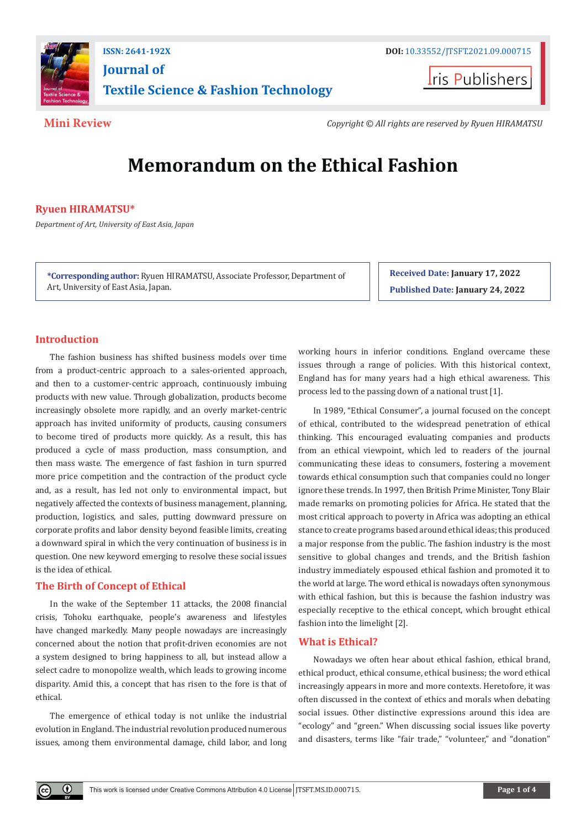# **ISSN: 2641-192X DOI:** [10.33552/JTSFT.2021.09.000715](https://dx.doi.org/10.33552/JTSFT.2022.09.000715) **[Journal of](https://irispublishers.com/jtsft/)  [Textile Science & Fashion Technology](https://irispublishers.com/jtsft/)**

**I**ris Publishers

**Mini Review** *Copyright © All rights are reserved by Ryuen HIRAMATSU*

# **Memorandum on the Ethical Fashion**

## **Ryuen HIRAMATSU\***

*Department of Art, University of East Asia, Japan*

**\*Corresponding author:** Ryuen HIRAMATSU, Associate Professor, Department of Art, University of East Asia, Japan.

**Received Date: January 17, 2022 Published Date: January 24, 2022**

# **Introduction**

The fashion business has shifted business models over time from a product-centric approach to a sales-oriented approach, and then to a customer-centric approach, continuously imbuing products with new value. Through globalization, products become increasingly obsolete more rapidly, and an overly market-centric approach has invited uniformity of products, causing consumers to become tired of products more quickly. As a result, this has produced a cycle of mass production, mass consumption, and then mass waste. The emergence of fast fashion in turn spurred more price competition and the contraction of the product cycle and, as a result, has led not only to environmental impact, but negatively affected the contexts of business management, planning, production, logistics, and sales, putting downward pressure on corporate profits and labor density beyond feasible limits, creating a downward spiral in which the very continuation of business is in question. One new keyword emerging to resolve these social issues is the idea of ethical.

# **The Birth of Concept of Ethical**

 $\odot$ 

In the wake of the September 11 attacks, the 2008 financial crisis, Tohoku earthquake, people's awareness and lifestyles have changed markedly. Many people nowadays are increasingly concerned about the notion that profit-driven economies are not a system designed to bring happiness to all, but instead allow a select cadre to monopolize wealth, which leads to growing income disparity. Amid this, a concept that has risen to the fore is that of ethical.

The emergence of ethical today is not unlike the industrial evolution in England. The industrial revolution produced numerous issues, among them environmental damage, child labor, and long working hours in inferior conditions. England overcame these issues through a range of policies. With this historical context, England has for many years had a high ethical awareness. This process led to the passing down of a national trust [1].

In 1989, "Ethical Consumer", a journal focused on the concept of ethical, contributed to the widespread penetration of ethical thinking. This encouraged evaluating companies and products from an ethical viewpoint, which led to readers of the journal communicating these ideas to consumers, fostering a movement towards ethical consumption such that companies could no longer ignore these trends. In 1997, then British Prime Minister, Tony Blair made remarks on promoting policies for Africa. He stated that the most critical approach to poverty in Africa was adopting an ethical stance to create programs based around ethical ideas; this produced a major response from the public. The fashion industry is the most sensitive to global changes and trends, and the British fashion industry immediately espoused ethical fashion and promoted it to the world at large. The word ethical is nowadays often synonymous with ethical fashion, but this is because the fashion industry was especially receptive to the ethical concept, which brought ethical fashion into the limelight [2].

### **What is Ethical?**

Nowadays we often hear about ethical fashion, ethical brand, ethical product, ethical consume, ethical business; the word ethical increasingly appears in more and more contexts. Heretofore, it was often discussed in the context of ethics and morals when debating social issues. Other distinctive expressions around this idea are "ecology" and "green." When discussing social issues like poverty and disasters, terms like "fair trade," "volunteer," and "donation"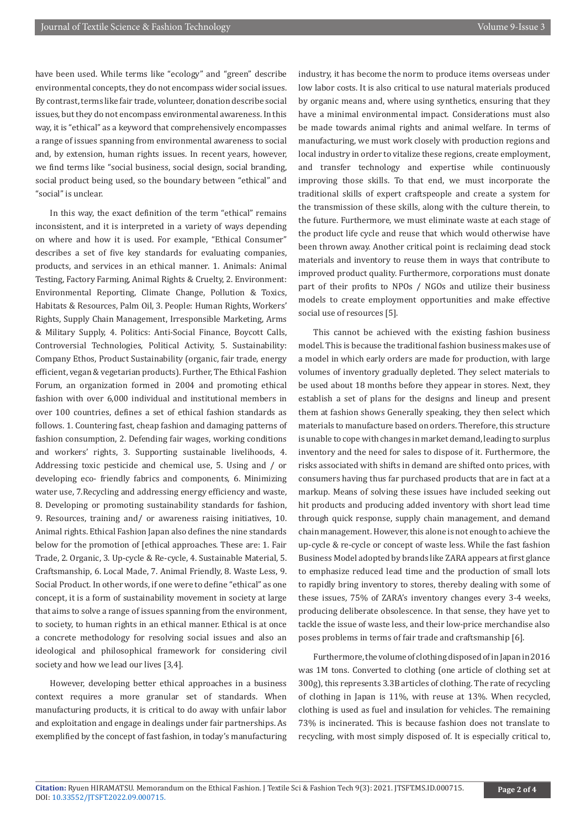have been used. While terms like "ecology" and "green" describe environmental concepts, they do not encompass wider social issues. By contrast, terms like fair trade, volunteer, donation describe social issues, but they do not encompass environmental awareness. In this way, it is "ethical" as a keyword that comprehensively encompasses a range of issues spanning from environmental awareness to social and, by extension, human rights issues. In recent years, however, we find terms like "social business, social design, social branding, social product being used, so the boundary between "ethical" and "social" is unclear.

In this way, the exact definition of the term "ethical" remains inconsistent, and it is interpreted in a variety of ways depending on where and how it is used. For example, "Ethical Consumer" describes a set of five key standards for evaluating companies, products, and services in an ethical manner. 1. Animals: Animal Testing, Factory Farming, Animal Rights & Cruelty, 2. Environment: Environmental Reporting, Climate Change, Pollution & Toxics, Habitats & Resources, Palm Oil, 3. People: Human Rights, Workers' Rights, Supply Chain Management, Irresponsible Marketing, Arms & Military Supply, 4. Politics: Anti-Social Finance, Boycott Calls, Controversial Technologies, Political Activity, 5. Sustainability: Company Ethos, Product Sustainability (organic, fair trade, energy efficient, vegan & vegetarian products). Further, The Ethical Fashion Forum, an organization formed in 2004 and promoting ethical fashion with over 6,000 individual and institutional members in over 100 countries, defines a set of ethical fashion standards as follows. 1. Countering fast, cheap fashion and damaging patterns of fashion consumption, 2. Defending fair wages, working conditions and workers' rights, 3. Supporting sustainable livelihoods, 4. Addressing toxic pesticide and chemical use, 5. Using and / or developing eco- friendly fabrics and components, 6. Minimizing water use, 7.Recycling and addressing energy efficiency and waste, 8. Developing or promoting sustainability standards for fashion, 9. Resources, training and/ or awareness raising initiatives, 10. Animal rights. Ethical Fashion Japan also defines the nine standards below for the promotion of [ethical approaches. These are: 1. Fair Trade, 2. Organic, 3. Up-cycle & Re-cycle, 4. Sustainable Material, 5. Craftsmanship, 6. Local Made, 7. Animal Friendly, 8. Waste Less, 9. Social Product. In other words, if one were to define "ethical" as one concept, it is a form of sustainability movement in society at large that aims to solve a range of issues spanning from the environment, to society, to human rights in an ethical manner. Ethical is at once a concrete methodology for resolving social issues and also an ideological and philosophical framework for considering civil society and how we lead our lives [3,4].

However, developing better ethical approaches in a business context requires a more granular set of standards. When manufacturing products, it is critical to do away with unfair labor and exploitation and engage in dealings under fair partnerships. As exemplified by the concept of fast fashion, in today's manufacturing industry, it has become the norm to produce items overseas under low labor costs. It is also critical to use natural materials produced by organic means and, where using synthetics, ensuring that they have a minimal environmental impact. Considerations must also be made towards animal rights and animal welfare. In terms of manufacturing, we must work closely with production regions and local industry in order to vitalize these regions, create employment, and transfer technology and expertise while continuously improving those skills. To that end, we must incorporate the traditional skills of expert craftspeople and create a system for the transmission of these skills, along with the culture therein, to the future. Furthermore, we must eliminate waste at each stage of the product life cycle and reuse that which would otherwise have been thrown away. Another critical point is reclaiming dead stock materials and inventory to reuse them in ways that contribute to improved product quality. Furthermore, corporations must donate part of their profits to NPOs / NGOs and utilize their business models to create employment opportunities and make effective social use of resources [5].

This cannot be achieved with the existing fashion business model. This is because the traditional fashion business makes use of a model in which early orders are made for production, with large volumes of inventory gradually depleted. They select materials to be used about 18 months before they appear in stores. Next, they establish a set of plans for the designs and lineup and present them at fashion shows Generally speaking, they then select which materials to manufacture based on orders. Therefore, this structure is unable to cope with changes in market demand, leading to surplus inventory and the need for sales to dispose of it. Furthermore, the risks associated with shifts in demand are shifted onto prices, with consumers having thus far purchased products that are in fact at a markup. Means of solving these issues have included seeking out hit products and producing added inventory with short lead time through quick response, supply chain management, and demand chain management. However, this alone is not enough to achieve the up-cycle & re-cycle or concept of waste less. While the fast fashion Business Model adopted by brands like ZARA appears at first glance to emphasize reduced lead time and the production of small lots to rapidly bring inventory to stores, thereby dealing with some of these issues, 75% of ZARA's inventory changes every 3-4 weeks, producing deliberate obsolescence. In that sense, they have yet to tackle the issue of waste less, and their low-price merchandise also poses problems in terms of fair trade and craftsmanship [6].

Furthermore, the volume of clothing disposed of in Japan in 2016 was 1M tons. Converted to clothing (one article of clothing set at 300g), this represents 3.3B articles of clothing. The rate of recycling of clothing in Japan is 11%, with reuse at 13%. When recycled, clothing is used as fuel and insulation for vehicles. The remaining 73% is incinerated. This is because fashion does not translate to recycling, with most simply disposed of. It is especially critical to,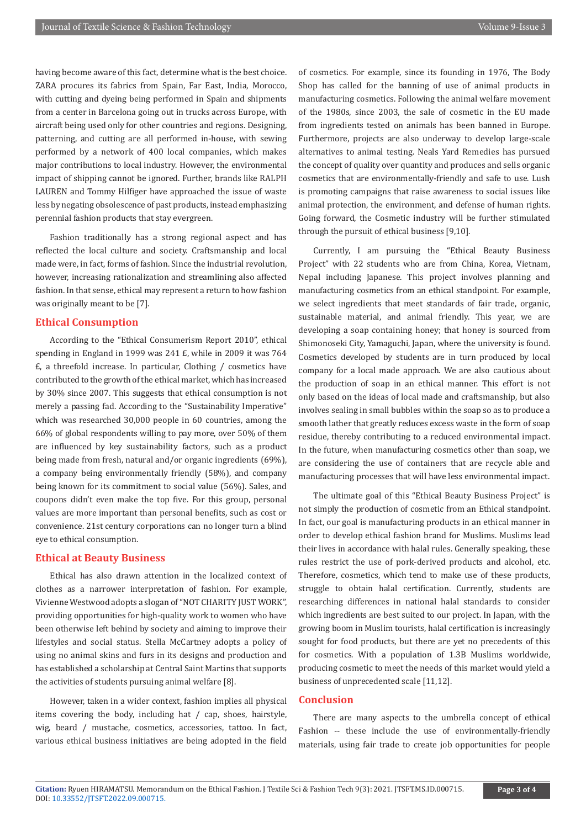having become aware of this fact, determine what is the best choice. ZARA procures its fabrics from Spain, Far East, India, Morocco, with cutting and dyeing being performed in Spain and shipments from a center in Barcelona going out in trucks across Europe, with aircraft being used only for other countries and regions. Designing, patterning, and cutting are all performed in-house, with sewing performed by a network of 400 local companies, which makes major contributions to local industry. However, the environmental impact of shipping cannot be ignored. Further, brands like RALPH LAUREN and Tommy Hilfiger have approached the issue of waste less by negating obsolescence of past products, instead emphasizing perennial fashion products that stay evergreen.

Fashion traditionally has a strong regional aspect and has reflected the local culture and society. Craftsmanship and local made were, in fact, forms of fashion. Since the industrial revolution, however, increasing rationalization and streamlining also affected fashion. In that sense, ethical may represent a return to how fashion was originally meant to be [7].

#### **Ethical Consumption**

According to the "Ethical Consumerism Report 2010", ethical spending in England in 1999 was 241 £, while in 2009 it was 764 £, a threefold increase. In particular, Clothing / cosmetics have contributed to the growth of the ethical market, which has increased by 30% since 2007. This suggests that ethical consumption is not merely a passing fad. According to the "Sustainability Imperative" which was researched 30,000 people in 60 countries, among the 66% of global respondents willing to pay more, over 50% of them are influenced by key sustainability factors, such as a product being made from fresh, natural and/or organic ingredients (69%), a company being environmentally friendly (58%), and company being known for its commitment to social value (56%). Sales, and coupons didn't even make the top five. For this group, personal values are more important than personal benefits, such as cost or convenience. 21st century corporations can no longer turn a blind eye to ethical consumption.

#### **Ethical at Beauty Business**

Ethical has also drawn attention in the localized context of clothes as a narrower interpretation of fashion. For example, Vivienne Westwood adopts a slogan of "NOT CHARITY JUST WORK", providing opportunities for high-quality work to women who have been otherwise left behind by society and aiming to improve their lifestyles and social status. Stella McCartney adopts a policy of using no animal skins and furs in its designs and production and has established a scholarship at Central Saint Martins that supports the activities of students pursuing animal welfare [8].

However, taken in a wider context, fashion implies all physical items covering the body, including hat / cap, shoes, hairstyle, wig, beard / mustache, cosmetics, accessories, tattoo. In fact, various ethical business initiatives are being adopted in the field

of cosmetics. For example, since its founding in 1976, The Body Shop has called for the banning of use of animal products in manufacturing cosmetics. Following the animal welfare movement of the 1980s, since 2003, the sale of cosmetic in the EU made from ingredients tested on animals has been banned in Europe. Furthermore, projects are also underway to develop large-scale alternatives to animal testing. Neals Yard Remedies has pursued the concept of quality over quantity and produces and sells organic cosmetics that are environmentally-friendly and safe to use. Lush is promoting campaigns that raise awareness to social issues like animal protection, the environment, and defense of human rights. Going forward, the Cosmetic industry will be further stimulated through the pursuit of ethical business [9,10].

Currently, I am pursuing the "Ethical Beauty Business Project" with 22 students who are from China, Korea, Vietnam, Nepal including Japanese. This project involves planning and manufacturing cosmetics from an ethical standpoint. For example, we select ingredients that meet standards of fair trade, organic, sustainable material, and animal friendly. This year, we are developing a soap containing honey; that honey is sourced from Shimonoseki City, Yamaguchi, Japan, where the university is found. Cosmetics developed by students are in turn produced by local company for a local made approach. We are also cautious about the production of soap in an ethical manner. This effort is not only based on the ideas of local made and craftsmanship, but also involves sealing in small bubbles within the soap so as to produce a smooth lather that greatly reduces excess waste in the form of soap residue, thereby contributing to a reduced environmental impact. In the future, when manufacturing cosmetics other than soap, we are considering the use of containers that are recycle able and manufacturing processes that will have less environmental impact.

The ultimate goal of this "Ethical Beauty Business Project" is not simply the production of cosmetic from an Ethical standpoint. In fact, our goal is manufacturing products in an ethical manner in order to develop ethical fashion brand for Muslims. Muslims lead their lives in accordance with halal rules. Generally speaking, these rules restrict the use of pork-derived products and alcohol, etc. Therefore, cosmetics, which tend to make use of these products, struggle to obtain halal certification. Currently, students are researching differences in national halal standards to consider which ingredients are best suited to our project. In Japan, with the growing boom in Muslim tourists, halal certification is increasingly sought for food products, but there are yet no precedents of this for cosmetics. With a population of 1.3B Muslims worldwide, producing cosmetic to meet the needs of this market would yield a business of unprecedented scale [11,12].

#### **Conclusion**

There are many aspects to the umbrella concept of ethical Fashion -- these include the use of environmentally-friendly materials, using fair trade to create job opportunities for people